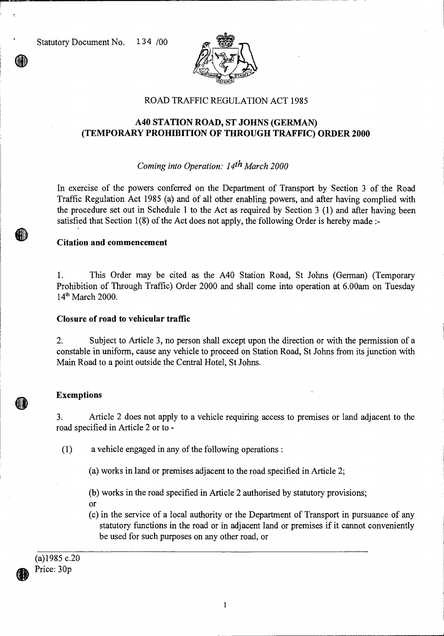Statutory Document No. 1 34 /00



## ROAD TRAFFIC REGULATION ACT 1985

# **A40 STATION ROAD, ST JOHNS (GERMAN) (TEMPORARY PROHIBITION OF THROUGH TRAFFIC) ORDER 2000**

## *Coming into Operation: 14th March 2000*

In exercise of the powers conferred on the Department of Transport by Section 3 of the Road Traffic Regulation Act 1985 (a) and of all other enabling powers, and after having complied with the procedure set out in Schedule 1 to the Act as required by Section 3 (1) and after having been satisfied that Section 1(8) of the Act does not apply, the following Order is hereby made :-

### **Citation and commencement**

1. This Order may be cited as the A40 Station Road, St Johns (German) (Temporary Prohibition of Through Traffic) Order 2000 and shall come into operation at 6.00am on Tuesday  $14<sup>th</sup>$  March 2000.

#### **Closure of road to vehicular traffic**

2. Subject to Article 3, no person shall except upon the direction or with the permission of a constable in uniform, cause any vehicle to proceed on Station Road, St Johns from its junction with Main Road to a point outside the Central Hotel, St Johns.

### **Exemptions**

3. Article 2 does not apply to a vehicle requiring access to premises or land adjacent to the road specified in Article 2 or to -

**(1)** a vehicle engaged in any of the following operations :

(a) works in land or premises adjacent to the road specified in Article 2;

(b) works in the road specified in Article 2 authorised by statutory provisions;

or

(c) in the service of a local authority or the Department of Transport in pursuance of any statutory functions in the road or in adjacent land or premises if it cannot conveniently be used for such purposes on any other road, or

(a)1985 c.20 Price: 30p